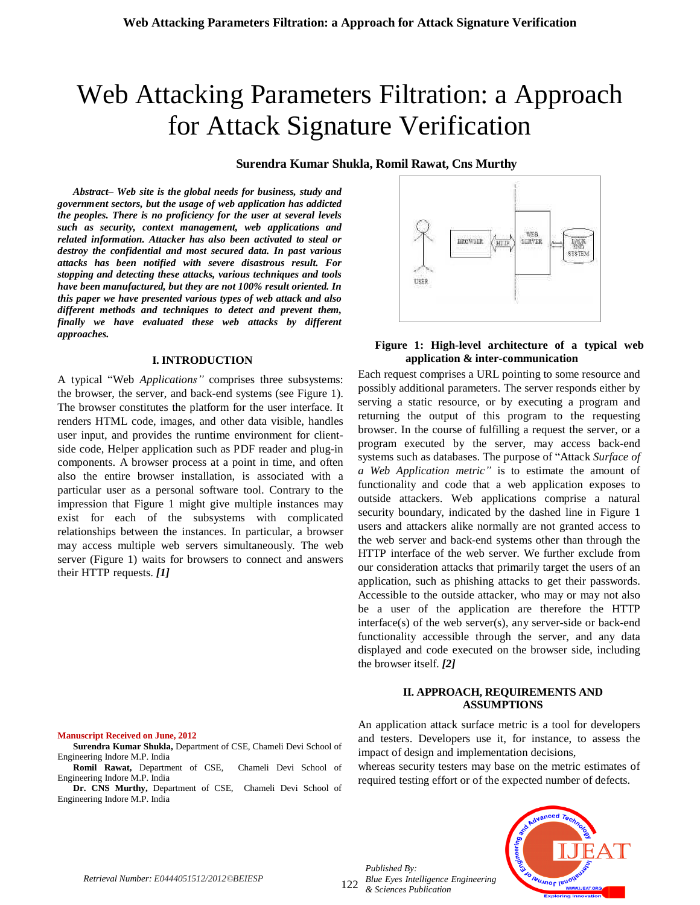# Web Attacking Parameters Filtration: a Approach for Attack Signature Verification

# **Surendra Kumar Shukla, Romil Rawat, Cns Murthy**

*Abstract– Web site is the global needs for business, study and government sectors, but the usage of web application has addicted the peoples. There is no proficiency for the user at several levels such as security, context management, web applications and related information. Attacker has also been activated to steal or destroy the confidential and most secured data. In past various attacks has been notified with severe disastrous result. For stopping and detecting these attacks, various techniques and tools have been manufactured, but they are not 100% result oriented. In this paper we have presented various types of web attack and also different methods and techniques to detect and prevent them, finally we have evaluated these web attacks by different approaches.*

#### **I. INTRODUCTION**

A typical "Web *Applications"* comprises three subsystems: the browser, the server, and back-end systems (see Figure 1). The browser constitutes the platform for the user interface. It renders HTML code, images, and other data visible, handles user input, and provides the runtime environment for clientside code, Helper application such as PDF reader and plug-in components. A browser process at a point in time, and often also the entire browser installation, is associated with a particular user as a personal software tool. Contrary to the impression that Figure 1 might give multiple instances may exist for each of the subsystems with complicated relationships between the instances. In particular, a browser may access multiple web servers simultaneously. The web server (Figure 1) waits for browsers to connect and answers their HTTP requests. *[1]*



**Surendra Kumar Shukla,** Department of CSE, Chameli Devi School of Engineering Indore M.P. India

**Romil Rawat,** Department of CSE, Chameli Devi School of Engineering Indore M.P. India

**Dr. CNS Murthy,** Department of CSE, Chameli Devi School of Engineering Indore M.P. India



## **Figure 1: High-level architecture of a typical web application & inter-communication**

Each request comprises a URL pointing to some resource and possibly additional parameters. The server responds either by serving a static resource, or by executing a program and returning the output of this program to the requesting browser. In the course of fulfilling a request the server, or a program executed by the server, may access back-end systems such as databases. The purpose of "Attack *Surface of a Web Application metric"* is to estimate the amount of functionality and code that a web application exposes to outside attackers. Web applications comprise a natural security boundary, indicated by the dashed line in Figure 1 users and attackers alike normally are not granted access to the web server and back-end systems other than through the HTTP interface of the web server. We further exclude from our consideration attacks that primarily target the users of an application, such as phishing attacks to get their passwords. Accessible to the outside attacker, who may or may not also be a user of the application are therefore the HTTP  $interface(s)$  of the web server $(s)$ , any server-side or back-end functionality accessible through the server, and any data displayed and code executed on the browser side, including the browser itself. *[2]*

## **II. APPROACH, REQUIREMENTS AND ASSUMPTIONS**

An application attack surface metric is a tool for developers and testers. Developers use it, for instance, to assess the impact of design and implementation decisions,

whereas security testers may base on the metric estimates of required testing effort or of the expected number of defects.

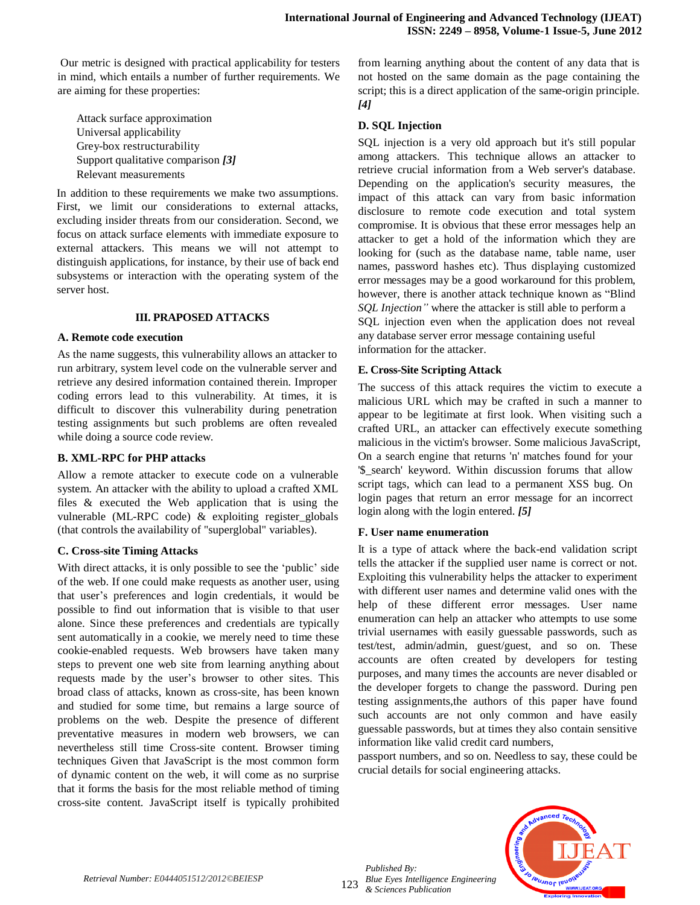Our metric is designed with practical applicability for testers in mind, which entails a number of further requirements. We are aiming for these properties:

Attack surface approximation Universal applicability Grey-box restructurability Support qualitative comparison *[3]* Relevant measurements

In addition to these requirements we make two assumptions. First, we limit our considerations to external attacks, excluding insider threats from our consideration. Second, we focus on attack surface elements with immediate exposure to external attackers. This means we will not attempt to distinguish applications, for instance, by their use of back end subsystems or interaction with the operating system of the server host.

## **III. PRAPOSED ATTACKS**

#### **A. Remote code execution**

As the name suggests, this vulnerability allows an attacker to run arbitrary, system level code on the vulnerable server and retrieve any desired information contained therein. Improper coding errors lead to this vulnerability. At times, it is difficult to discover this vulnerability during penetration testing assignments but such problems are often revealed while doing a source code review.

# **B. XML-RPC for PHP attacks**

Allow a remote attacker to execute code on a vulnerable system. An attacker with the ability to upload a crafted XML files & executed the Web application that is using the vulnerable (ML-RPC code) & exploiting register\_globals (that controls the availability of "superglobal" variables).

## **C. Cross-site Timing Attacks**

With direct attacks, it is only possible to see the 'public' side of the web. If one could make requests as another user, using that user"s preferences and login credentials, it would be possible to find out information that is visible to that user alone. Since these preferences and credentials are typically sent automatically in a cookie, we merely need to time these cookie-enabled requests. Web browsers have taken many steps to prevent one web site from learning anything about requests made by the user"s browser to other sites. This broad class of attacks, known as cross-site, has been known and studied for some time, but remains a large source of problems on the web. Despite the presence of different preventative measures in modern web browsers, we can nevertheless still time Cross-site content. Browser timing techniques Given that JavaScript is the most common form of dynamic content on the web, it will come as no surprise that it forms the basis for the most reliable method of timing cross-site content. JavaScript itself is typically prohibited

from learning anything about the content of any data that is not hosted on the same domain as the page containing the script; this is a direct application of the same-origin principle. *[4]*

## **D. SQL Injection**

SQL injection is a very old approach but it's still popular among attackers. This technique allows an attacker to retrieve crucial information from a Web server's database. Depending on the application's security measures, the impact of this attack can vary from basic information disclosure to remote code execution and total system compromise. It is obvious that these error messages help an attacker to get a hold of the information which they are looking for (such as the database name, table name, user names, password hashes etc). Thus displaying customized error messages may be a good workaround for this problem, however, there is another attack technique known as "Blind *SQL Injection"* where the attacker is still able to perform a SQL injection even when the application does not reveal any database server error message containing useful information for the attacker.

#### **E. Cross-Site Scripting Attack**

The success of this attack requires the victim to execute a malicious URL which may be crafted in such a manner to appear to be legitimate at first look. When visiting such a crafted URL, an attacker can effectively execute something malicious in the victim's browser. Some malicious JavaScript, On a search engine that returns 'n' matches found for your '\$\_search' keyword. Within discussion forums that allow script tags, which can lead to a permanent XSS bug. On login pages that return an error message for an incorrect login along with the login entered. *[5]*

## **F. User name enumeration**

It is a type of attack where the back-end validation script tells the attacker if the supplied user name is correct or not. Exploiting this vulnerability helps the attacker to experiment with different user names and determine valid ones with the help of these different error messages. User name enumeration can help an attacker who attempts to use some trivial usernames with easily guessable passwords, such as test/test, admin/admin, guest/guest, and so on. These accounts are often created by developers for testing purposes, and many times the accounts are never disabled or the developer forgets to change the password. During pen testing assignments,the authors of this paper have found such accounts are not only common and have easily guessable passwords, but at times they also contain sensitive information like valid credit card numbers,

passport numbers, and so on. Needless to say, these could be crucial details for social engineering attacks.

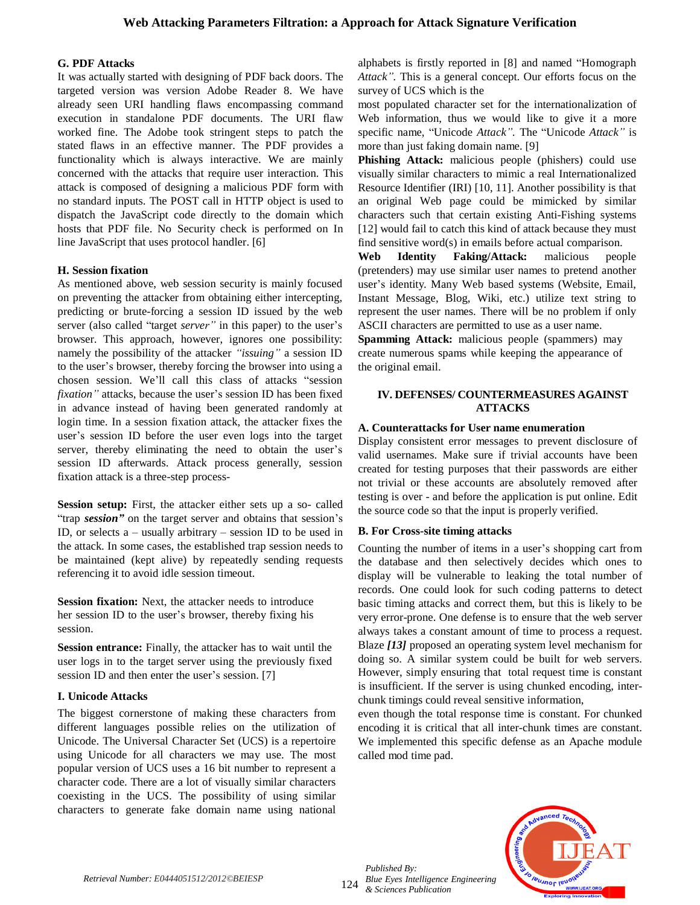# **G. PDF Attacks**

It was actually started with designing of PDF back doors. The targeted version was version Adobe Reader 8. We have already seen URI handling flaws encompassing command execution in standalone PDF documents. The URI flaw worked fine. The Adobe took stringent steps to patch the stated flaws in an effective manner. The PDF provides a functionality which is always interactive. We are mainly concerned with the attacks that require user interaction. This attack is composed of designing a malicious PDF form with no standard inputs. The POST call in HTTP object is used to dispatch the JavaScript code directly to the domain which hosts that PDF file. No Security check is performed on In line JavaScript that uses protocol handler. [6]

# **H. Session fixation**

As mentioned above, web session security is mainly focused on preventing the attacker from obtaining either intercepting, predicting or brute-forcing a session ID issued by the web server (also called "target *server"* in this paper) to the user's browser. This approach, however, ignores one possibility: namely the possibility of the attacker *"issuing"* a session ID to the user"s browser, thereby forcing the browser into using a chosen session. We"ll call this class of attacks "session *fixation*" attacks, because the user's session ID has been fixed in advance instead of having been generated randomly at login time. In a session fixation attack, the attacker fixes the user's session ID before the user even logs into the target server, thereby eliminating the need to obtain the user's session ID afterwards. Attack process generally, session fixation attack is a three-step process-

**Session setup:** First, the attacker either sets up a so- called "trap *session"* on the target server and obtains that session"s ID, or selects a – usually arbitrary – session ID to be used in the attack. In some cases, the established trap session needs to be maintained (kept alive) by repeatedly sending requests referencing it to avoid idle session timeout.

**Session fixation:** Next, the attacker needs to introduce her session ID to the user"s browser, thereby fixing his session.

**Session entrance:** Finally, the attacker has to wait until the user logs in to the target server using the previously fixed session ID and then enter the user's session. [7]

## **I. Unicode Attacks**

The biggest cornerstone of making these characters from different languages possible relies on the utilization of Unicode. The Universal Character Set (UCS) is a repertoire using Unicode for all characters we may use. The most popular version of UCS uses a 16 bit number to represent a character code. There are a lot of visually similar characters coexisting in the UCS. The possibility of using similar characters to generate fake domain name using national

alphabets is firstly reported in [8] and named "Homograph *Attack".* This is a general concept. Our efforts focus on the survey of UCS which is the

most populated character set for the internationalization of Web information, thus we would like to give it a more specific name, "Unicode *Attack".* The "Unicode *Attack"* is more than just faking domain name. [9]

**Phishing Attack:** malicious people (phishers) could use visually similar characters to mimic a real Internationalized Resource Identifier (IRI) [10, 11]. Another possibility is that an original Web page could be mimicked by similar characters such that certain existing Anti-Fishing systems [12] would fail to catch this kind of attack because they must find sensitive word(s) in emails before actual comparison.

**Web Identity Faking/Attack:** malicious people (pretenders) may use similar user names to pretend another user's identity. Many Web based systems (Website, Email, Instant Message, Blog, Wiki, etc.) utilize text string to represent the user names. There will be no problem if only ASCII characters are permitted to use as a user name.

**Spamming Attack:** malicious people (spammers) may create numerous spams while keeping the appearance of the original email.

## **IV. DEFENSES/ COUNTERMEASURES AGAINST ATTACKS**

## **A. Counterattacks for User name enumeration**

Display consistent error messages to prevent disclosure of valid usernames. Make sure if trivial accounts have been created for testing purposes that their passwords are either not trivial or these accounts are absolutely removed after testing is over - and before the application is put online. Edit the source code so that the input is properly verified.

# **B. For Cross-site timing attacks**

Counting the number of items in a user"s shopping cart from the database and then selectively decides which ones to display will be vulnerable to leaking the total number of records. One could look for such coding patterns to detect basic timing attacks and correct them, but this is likely to be very error-prone. One defense is to ensure that the web server always takes a constant amount of time to process a request. Blaze *[13]* proposed an operating system level mechanism for doing so. A similar system could be built for web servers. However, simply ensuring that total request time is constant is insufficient. If the server is using chunked encoding, interchunk timings could reveal sensitive information,

even though the total response time is constant. For chunked encoding it is critical that all inter-chunk times are constant. We implemented this specific defense as an Apache module called mod time pad.

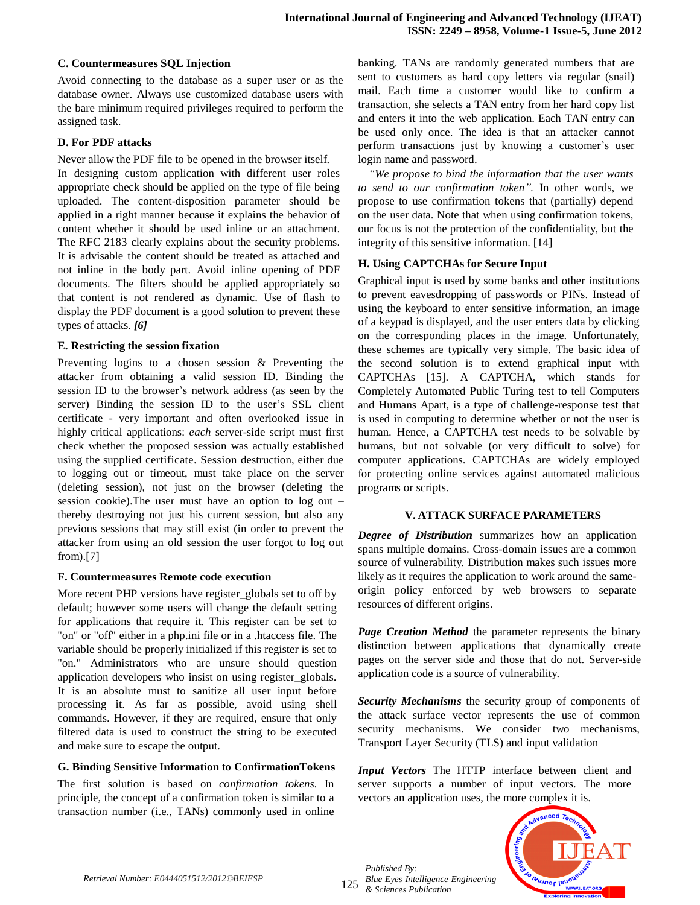# **C. Countermeasures SQL Injection**

Avoid connecting to the database as a super user or as the database owner. Always use customized database users with the bare minimum required privileges required to perform the assigned task.

# **D. For PDF attacks**

Never allow the PDF file to be opened in the browser itself.

In designing custom application with different user roles appropriate check should be applied on the type of file being uploaded. The content-disposition parameter should be applied in a right manner because it explains the behavior of content whether it should be used inline or an attachment. The RFC 2183 clearly explains about the security problems. It is advisable the content should be treated as attached and not inline in the body part. Avoid inline opening of PDF documents. The filters should be applied appropriately so that content is not rendered as dynamic. Use of flash to display the PDF document is a good solution to prevent these types of attacks. *[6]*

# **E. Restricting the session fixation**

Preventing logins to a chosen session & Preventing the attacker from obtaining a valid session ID. Binding the session ID to the browser's network address (as seen by the server) Binding the session ID to the user's SSL client certificate - very important and often overlooked issue in highly critical applications: *each* server-side script must first check whether the proposed session was actually established using the supplied certificate. Session destruction, either due to logging out or timeout, must take place on the server (deleting session), not just on the browser (deleting the session cookie).The user must have an option to log out – thereby destroying not just his current session, but also any previous sessions that may still exist (in order to prevent the attacker from using an old session the user forgot to log out from).[7]

# **F. Countermeasures Remote code execution**

More recent PHP versions have register\_globals set to off by default; however some users will change the default setting for applications that require it. This register can be set to "on" or "off" either in a php.ini file or in a .htaccess file. The variable should be properly initialized if this register is set to "on." Administrators who are unsure should question application developers who insist on using register\_globals. It is an absolute must to sanitize all user input before processing it. As far as possible, avoid using shell commands. However, if they are required, ensure that only filtered data is used to construct the string to be executed and make sure to escape the output.

# **G. Binding Sensitive Information to ConfirmationTokens**

The first solution is based on *confirmation tokens.* In principle, the concept of a confirmation token is similar to a transaction number (i.e., TANs) commonly used in online

banking. TANs are randomly generated numbers that are sent to customers as hard copy letters via regular (snail) mail. Each time a customer would like to confirm a transaction, she selects a TAN entry from her hard copy list and enters it into the web application. Each TAN entry can be used only once. The idea is that an attacker cannot perform transactions just by knowing a customer"s user login name and password.

*"We propose to bind the information that the user wants to send to our confirmation token".* In other words, we propose to use confirmation tokens that (partially) depend on the user data. Note that when using confirmation tokens, our focus is not the protection of the confidentiality, but the integrity of this sensitive information. [14]

# **H. Using CAPTCHAs for Secure Input**

Graphical input is used by some banks and other institutions to prevent eavesdropping of passwords or PINs. Instead of using the keyboard to enter sensitive information, an image of a keypad is displayed, and the user enters data by clicking on the corresponding places in the image. Unfortunately, these schemes are typically very simple. The basic idea of the second solution is to extend graphical input with CAPTCHAs [15]. A CAPTCHA, which stands for Completely Automated Public Turing test to tell Computers and Humans Apart, is a type of challenge-response test that is used in computing to determine whether or not the user is human. Hence, a CAPTCHA test needs to be solvable by humans, but not solvable (or very difficult to solve) for computer applications. CAPTCHAs are widely employed for protecting online services against automated malicious programs or scripts.

# **V. ATTACK SURFACE PARAMETERS**

*Degree of Distribution* summarizes how an application spans multiple domains. Cross-domain issues are a common source of vulnerability. Distribution makes such issues more likely as it requires the application to work around the sameorigin policy enforced by web browsers to separate resources of different origins.

*Page Creation Method* the parameter represents the binary distinction between applications that dynamically create pages on the server side and those that do not. Server-side application code is a source of vulnerability.

*Security Mechanisms* the security group of components of the attack surface vector represents the use of common security mechanisms. We consider two mechanisms, Transport Layer Security (TLS) and input validation

*Input Vectors* The HTTP interface between client and server supports a number of input vectors. The more vectors an application uses, the more complex it is.

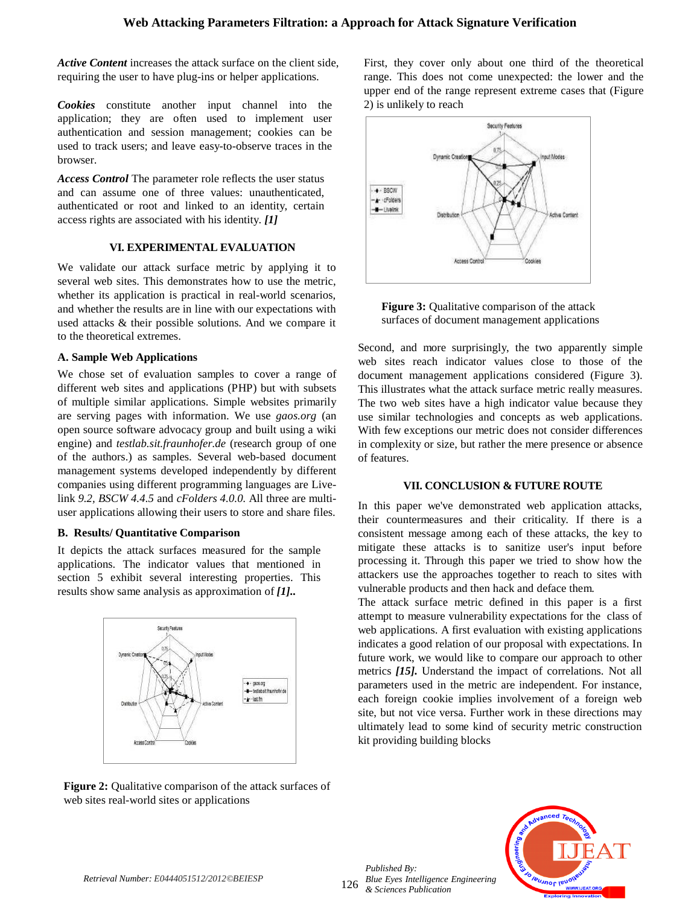*Active Content* increases the attack surface on the client side, requiring the user to have plug-ins or helper applications.

*Cookies* constitute another input channel into the application; they are often used to implement user authentication and session management; cookies can be used to track users; and leave easy-to-observe traces in the browser.

*Access Control* The parameter role reflects the user status and can assume one of three values: unauthenticated, authenticated or root and linked to an identity, certain access rights are associated with his identity. *[1]*

#### **VI. EXPERIMENTAL EVALUATION**

We validate our attack surface metric by applying it to several web sites. This demonstrates how to use the metric, whether its application is practical in real-world scenarios, and whether the results are in line with our expectations with used attacks & their possible solutions. And we compare it to the theoretical extremes.

## **A. Sample Web Applications**

We chose set of evaluation samples to cover a range of different web sites and applications (PHP) but with subsets of multiple similar applications. Simple websites primarily are serving pages with information. We use *gaos.org* (an open source software advocacy group and built using a wiki engine) and *testlab.sit.fraunhofer.de* (research group of one of the authors.) as samples. Several web-based document management systems developed independently by different companies using different programming languages are Livelink *9.2, BSCW 4.4.5* and *cFolders 4.0.0.* All three are multiuser applications allowing their users to store and share files.

#### **B. Results/ Quantitative Comparison**

It depicts the attack surfaces measured for the sample applications. The indicator values that mentioned in section 5 exhibit several interesting properties. This results show same analysis as approximation of *[1]..*



**Figure 2:** Qualitative comparison of the attack surfaces of web sites real-world sites or applications

First, they cover only about one third of the theoretical range. This does not come unexpected: the lower and the upper end of the range represent extreme cases that (Figure 2) is unlikely to reach



**Figure 3:** Qualitative comparison of the attack surfaces of document management applications

Second, and more surprisingly, the two apparently simple web sites reach indicator values close to those of the document management applications considered (Figure 3). This illustrates what the attack surface metric really measures. The two web sites have a high indicator value because they use similar technologies and concepts as web applications. With few exceptions our metric does not consider differences in complexity or size, but rather the mere presence or absence of features.

#### **VII. CONCLUSION & FUTURE ROUTE**

In this paper we've demonstrated web application attacks, their countermeasures and their criticality. If there is a consistent message among each of these attacks, the key to mitigate these attacks is to sanitize user's input before processing it. Through this paper we tried to show how the attackers use the approaches together to reach to sites with vulnerable products and then hack and deface them.

The attack surface metric defined in this paper is a first attempt to measure vulnerability expectations for the class of web applications. A first evaluation with existing applications indicates a good relation of our proposal with expectations. In future work, we would like to compare our approach to other metrics *[15].* Understand the impact of correlations. Not all parameters used in the metric are independent. For instance, each foreign cookie implies involvement of a foreign web site, but not vice versa. Further work in these directions may ultimately lead to some kind of security metric construction kit providing building blocks